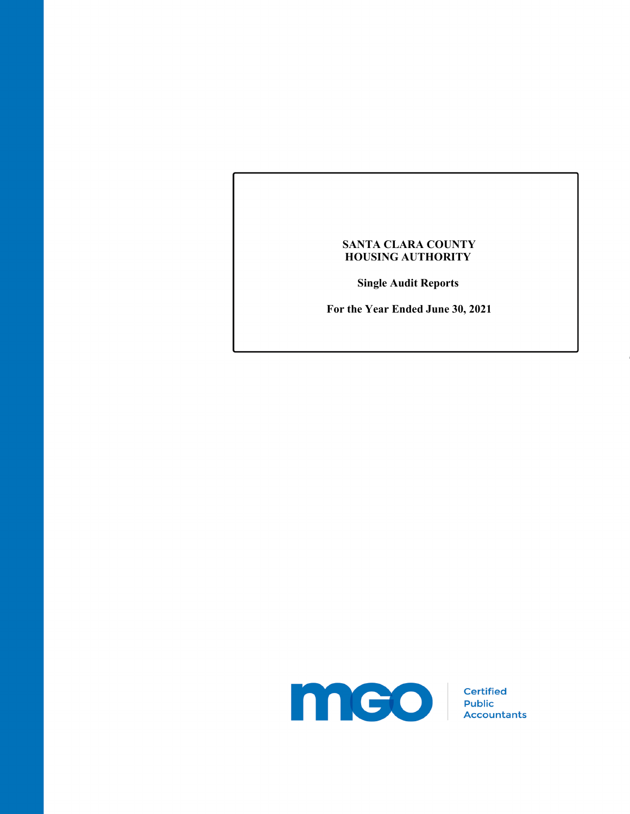## **SANTA CLARA COUNTY HOUSING AUTHORITY**

**Single Audit Reports** 

**For the Year Ended June 30, 2021** 

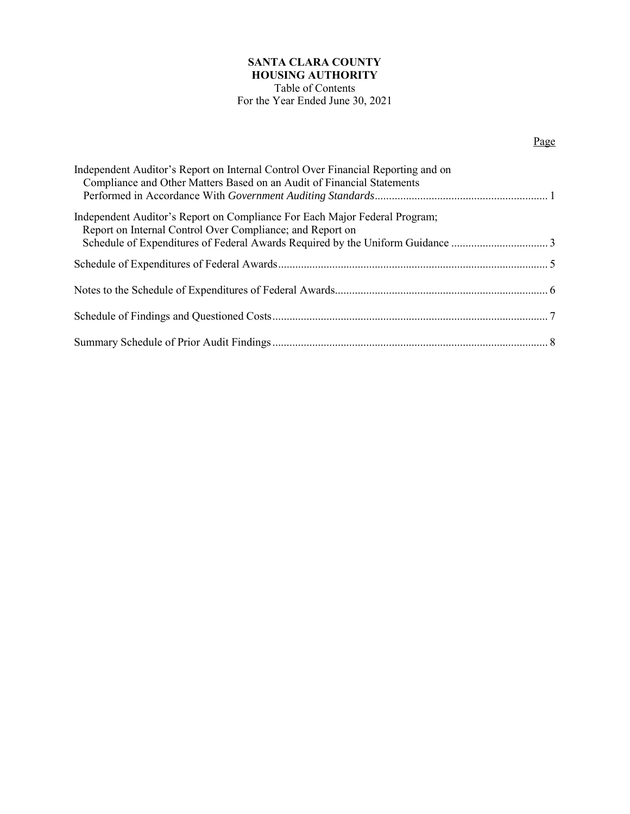## **SANTA CLARA COUNTY HOUSING AUTHORITY**

## Table of Contents For the Year Ended June 30, 2021

## Page

| Independent Auditor's Report on Internal Control Over Financial Reporting and on<br>Compliance and Other Matters Based on an Audit of Financial Statements                                                               |  |
|--------------------------------------------------------------------------------------------------------------------------------------------------------------------------------------------------------------------------|--|
| Independent Auditor's Report on Compliance For Each Major Federal Program;<br>Report on Internal Control Over Compliance; and Report on<br>Schedule of Expenditures of Federal Awards Required by the Uniform Guidance 3 |  |
|                                                                                                                                                                                                                          |  |
|                                                                                                                                                                                                                          |  |
|                                                                                                                                                                                                                          |  |
|                                                                                                                                                                                                                          |  |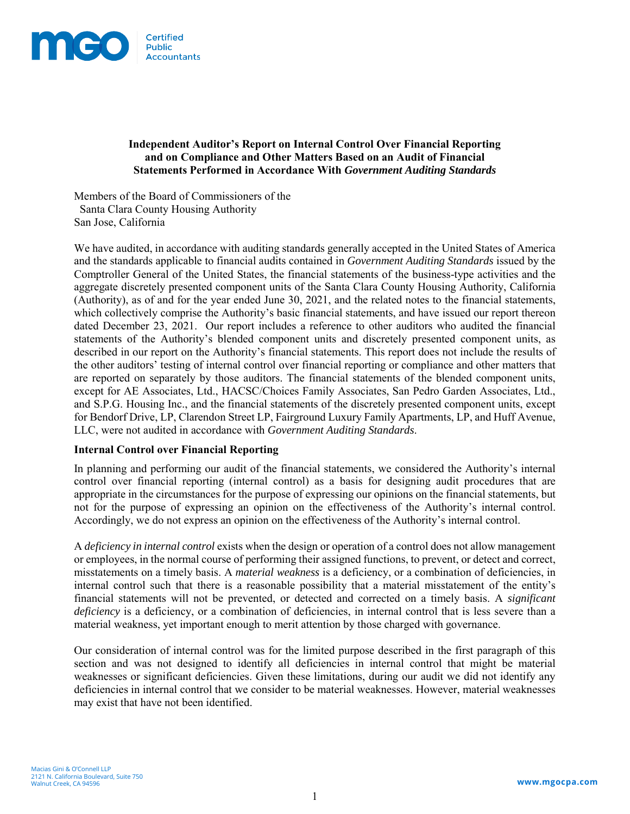

### **Independent Auditor's Report on Internal Control Over Financial Reporting and on Compliance and Other Matters Based on an Audit of Financial Statements Performed in Accordance With** *Government Auditing Standards*

Members of the Board of Commissioners of the Santa Clara County Housing Authority San Jose, California

We have audited, in accordance with auditing standards generally accepted in the United States of America and the standards applicable to financial audits contained in *Government Auditing Standards* issued by the Comptroller General of the United States, the financial statements of the business-type activities and the aggregate discretely presented component units of the Santa Clara County Housing Authority, California (Authority), as of and for the year ended June 30, 2021, and the related notes to the financial statements, which collectively comprise the Authority's basic financial statements, and have issued our report thereon dated December 23, 2021. Our report includes a reference to other auditors who audited the financial statements of the Authority's blended component units and discretely presented component units, as described in our report on the Authority's financial statements. This report does not include the results of the other auditors' testing of internal control over financial reporting or compliance and other matters that are reported on separately by those auditors. The financial statements of the blended component units, except for AE Associates, Ltd., HACSC/Choices Family Associates, San Pedro Garden Associates, Ltd., and S.P.G. Housing Inc., and the financial statements of the discretely presented component units, except for Bendorf Drive, LP, Clarendon Street LP, Fairground Luxury Family Apartments, LP, and Huff Avenue, LLC, were not audited in accordance with *Government Auditing Standards*.

### **Internal Control over Financial Reporting**

In planning and performing our audit of the financial statements, we considered the Authority's internal control over financial reporting (internal control) as a basis for designing audit procedures that are appropriate in the circumstances for the purpose of expressing our opinions on the financial statements, but not for the purpose of expressing an opinion on the effectiveness of the Authority's internal control. Accordingly, we do not express an opinion on the effectiveness of the Authority's internal control.

A *deficiency in internal control* exists when the design or operation of a control does not allow management or employees, in the normal course of performing their assigned functions, to prevent, or detect and correct, misstatements on a timely basis. A *material weakness* is a deficiency, or a combination of deficiencies, in internal control such that there is a reasonable possibility that a material misstatement of the entity's financial statements will not be prevented, or detected and corrected on a timely basis. A *significant deficiency* is a deficiency, or a combination of deficiencies, in internal control that is less severe than a material weakness, yet important enough to merit attention by those charged with governance.

Our consideration of internal control was for the limited purpose described in the first paragraph of this section and was not designed to identify all deficiencies in internal control that might be material weaknesses or significant deficiencies. Given these limitations, during our audit we did not identify any deficiencies in internal control that we consider to be material weaknesses. However, material weaknesses may exist that have not been identified.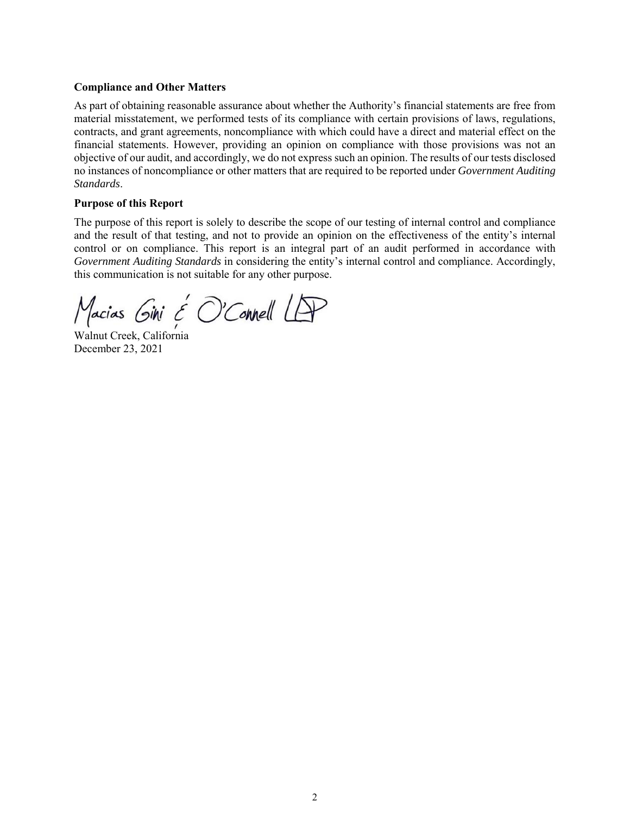## **Compliance and Other Matters**

As part of obtaining reasonable assurance about whether the Authority's financial statements are free from material misstatement, we performed tests of its compliance with certain provisions of laws, regulations, contracts, and grant agreements, noncompliance with which could have a direct and material effect on the financial statements. However, providing an opinion on compliance with those provisions was not an objective of our audit, and accordingly, we do not express such an opinion. The results of our tests disclosed no instances of noncompliance or other matters that are required to be reported under *Government Auditing Standards*.

#### **Purpose of this Report**

The purpose of this report is solely to describe the scope of our testing of internal control and compliance and the result of that testing, and not to provide an opinion on the effectiveness of the entity's internal control or on compliance. This report is an integral part of an audit performed in accordance with *Government Auditing Standards* in considering the entity's internal control and compliance. Accordingly, this communication is not suitable for any other purpose.

 $M$ acias Gini  $\epsilon$  O'Connell LP<br>Walnut Creek, California

December 23, 2021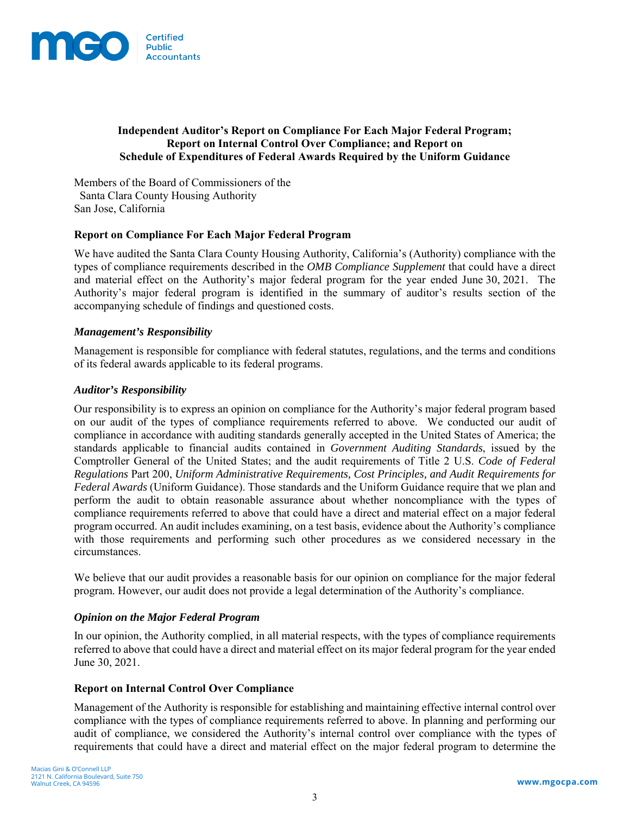

## **Independent Auditor's Report on Compliance For Each Major Federal Program; Report on Internal Control Over Compliance; and Report on Schedule of Expenditures of Federal Awards Required by the Uniform Guidance**

Members of the Board of Commissioners of the Santa Clara County Housing Authority San Jose, California

### **Report on Compliance For Each Major Federal Program**

We have audited the Santa Clara County Housing Authority, California's (Authority) compliance with the types of compliance requirements described in the *OMB Compliance Supplement* that could have a direct and material effect on the Authority's major federal program for the year ended June 30, 2021. The Authority's major federal program is identified in the summary of auditor's results section of the accompanying schedule of findings and questioned costs.

#### *Management's Responsibility*

Management is responsible for compliance with federal statutes, regulations, and the terms and conditions of its federal awards applicable to its federal programs.

#### *Auditor's Responsibility*

Our responsibility is to express an opinion on compliance for the Authority's major federal program based on our audit of the types of compliance requirements referred to above. We conducted our audit of compliance in accordance with auditing standards generally accepted in the United States of America; the standards applicable to financial audits contained in *Government Auditing Standards*, issued by the Comptroller General of the United States; and the audit requirements of Title 2 U.S. *Code of Federal Regulations* Part 200, *Uniform Administrative Requirements, Cost Principles, and Audit Requirements for Federal Awards* (Uniform Guidance). Those standards and the Uniform Guidance require that we plan and perform the audit to obtain reasonable assurance about whether noncompliance with the types of compliance requirements referred to above that could have a direct and material effect on a major federal program occurred. An audit includes examining, on a test basis, evidence about the Authority's compliance with those requirements and performing such other procedures as we considered necessary in the circumstances.

We believe that our audit provides a reasonable basis for our opinion on compliance for the major federal program. However, our audit does not provide a legal determination of the Authority's compliance.

#### *Opinion on the Major Federal Program*

In our opinion, the Authority complied, in all material respects, with the types of compliance requirements referred to above that could have a direct and material effect on its major federal program for the year ended June 30, 2021.

#### **Report on Internal Control Over Compliance**

Management of the Authority is responsible for establishing and maintaining effective internal control over compliance with the types of compliance requirements referred to above. In planning and performing our audit of compliance, we considered the Authority's internal control over compliance with the types of requirements that could have a direct and material effect on the major federal program to determine the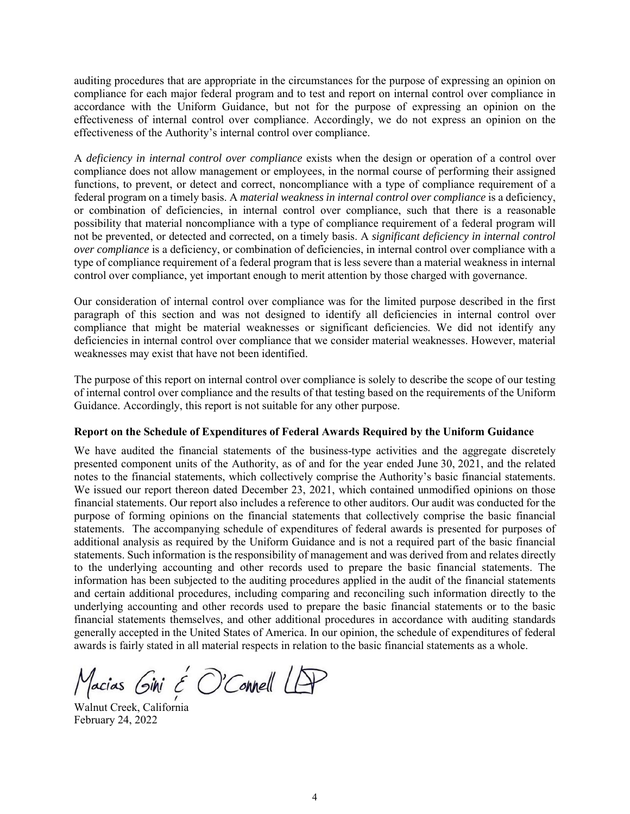auditing procedures that are appropriate in the circumstances for the purpose of expressing an opinion on compliance for each major federal program and to test and report on internal control over compliance in accordance with the Uniform Guidance, but not for the purpose of expressing an opinion on the effectiveness of internal control over compliance. Accordingly, we do not express an opinion on the effectiveness of the Authority's internal control over compliance.

A *deficiency in internal control over compliance* exists when the design or operation of a control over compliance does not allow management or employees, in the normal course of performing their assigned functions, to prevent, or detect and correct, noncompliance with a type of compliance requirement of a federal program on a timely basis. A *material weakness in internal control over compliance* is a deficiency, or combination of deficiencies, in internal control over compliance, such that there is a reasonable possibility that material noncompliance with a type of compliance requirement of a federal program will not be prevented, or detected and corrected, on a timely basis. A *significant deficiency in internal control over compliance* is a deficiency, or combination of deficiencies, in internal control over compliance with a type of compliance requirement of a federal program that is less severe than a material weakness in internal control over compliance, yet important enough to merit attention by those charged with governance.

Our consideration of internal control over compliance was for the limited purpose described in the first paragraph of this section and was not designed to identify all deficiencies in internal control over compliance that might be material weaknesses or significant deficiencies. We did not identify any deficiencies in internal control over compliance that we consider material weaknesses. However, material weaknesses may exist that have not been identified.

The purpose of this report on internal control over compliance is solely to describe the scope of our testing of internal control over compliance and the results of that testing based on the requirements of the Uniform Guidance. Accordingly, this report is not suitable for any other purpose.

### **Report on the Schedule of Expenditures of Federal Awards Required by the Uniform Guidance**

We have audited the financial statements of the business-type activities and the aggregate discretely presented component units of the Authority, as of and for the year ended June 30, 2021, and the related notes to the financial statements, which collectively comprise the Authority's basic financial statements. We issued our report thereon dated December 23, 2021, which contained unmodified opinions on those financial statements. Our report also includes a reference to other auditors. Our audit was conducted for the purpose of forming opinions on the financial statements that collectively comprise the basic financial statements. The accompanying schedule of expenditures of federal awards is presented for purposes of additional analysis as required by the Uniform Guidance and is not a required part of the basic financial statements. Such information is the responsibility of management and was derived from and relates directly to the underlying accounting and other records used to prepare the basic financial statements. The information has been subjected to the auditing procedures applied in the audit of the financial statements and certain additional procedures, including comparing and reconciling such information directly to the underlying accounting and other records used to prepare the basic financial statements or to the basic financial statements themselves, and other additional procedures in accordance with auditing standards generally accepted in the United States of America. In our opinion, the schedule of expenditures of federal awards is fairly stated in all material respects in relation to the basic financial statements as a whole.

 $M$ acias Gini  $\epsilon$  O'Connell LP<br>Walnut Creek, California

February 24, 2022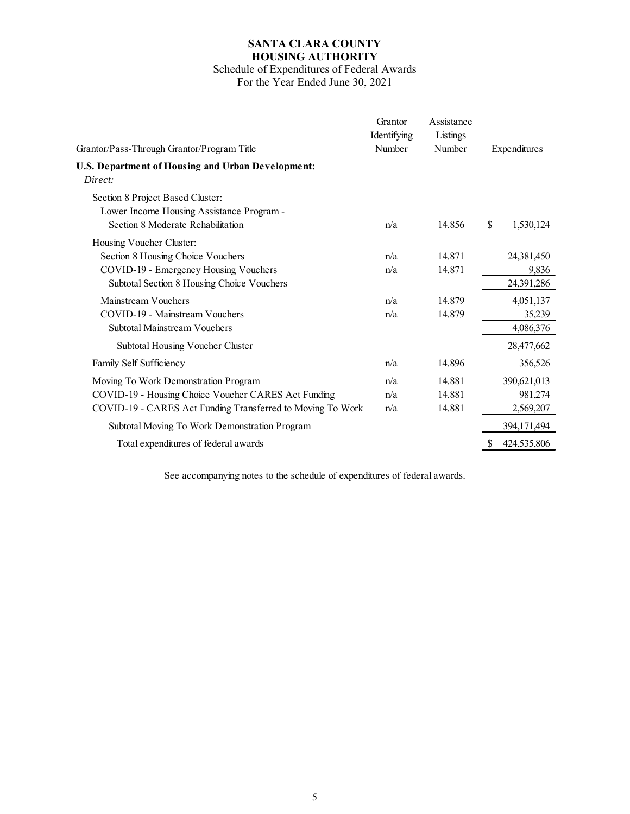## **SANTA CLARA COUNTY HOUSING AUTHORITY**

#### Schedule of Expenditures of Federal Awards For the Year Ended June 30, 2021

| Grantor/Pass-Through Grantor/Program Title                                                                                                                | Grantor<br>Identifying<br>Number | Assistance<br>Listings<br>Number | Expenditures                        |
|-----------------------------------------------------------------------------------------------------------------------------------------------------------|----------------------------------|----------------------------------|-------------------------------------|
| U.S. Department of Housing and Urban Development:                                                                                                         |                                  |                                  |                                     |
| Direct:                                                                                                                                                   |                                  |                                  |                                     |
| Section 8 Project Based Cluster:<br>Lower Income Housing Assistance Program -<br>Section 8 Moderate Rehabilitation                                        | n/a                              | 14.856                           | \$<br>1,530,124                     |
| Housing Voucher Cluster:<br>Section 8 Housing Choice Vouchers<br>COVID-19 - Emergency Housing Vouchers<br>Subtotal Section 8 Housing Choice Vouchers      | n/a<br>n/a                       | 14.871<br>14.871                 | 24,381,450<br>9,836<br>24,391,286   |
| Mainstream Vouchers<br>COVID-19 - Mainstream Vouchers<br>Subtotal Mainstream Vouchers                                                                     | n/a<br>n/a                       | 14.879<br>14.879                 | 4,051,137<br>35,239<br>4,086,376    |
| Subtotal Housing Voucher Cluster                                                                                                                          |                                  |                                  | 28,477,662                          |
| Family Self Sufficiency                                                                                                                                   | n/a                              | 14.896                           | 356,526                             |
| Moving To Work Demonstration Program<br>COVID-19 - Housing Choice Voucher CARES Act Funding<br>COVID-19 - CARES Act Funding Transferred to Moving To Work | n/a<br>n/a<br>n/a                | 14.881<br>14.881<br>14.881       | 390,621,013<br>981,274<br>2,569,207 |
| Subtotal Moving To Work Demonstration Program                                                                                                             |                                  |                                  | 394,171,494                         |
| Total expenditures of federal awards                                                                                                                      |                                  |                                  | 424,535,806                         |

See accompanying notes to the schedule of expenditures of federal awards.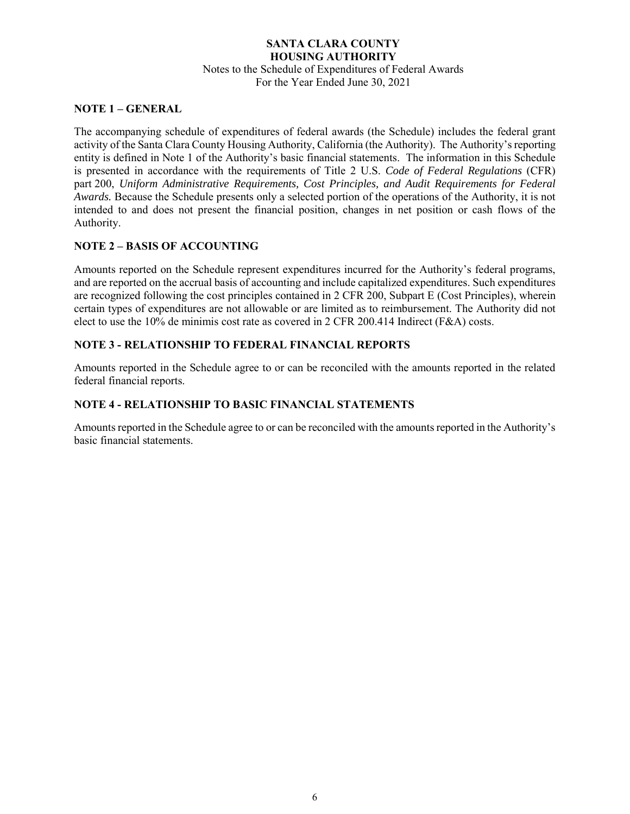## **SANTA CLARA COUNTY HOUSING AUTHORITY**  Notes to the Schedule of Expenditures of Federal Awards For the Year Ended June 30, 2021

#### **NOTE 1 – GENERAL**

The accompanying schedule of expenditures of federal awards (the Schedule) includes the federal grant activity of the Santa Clara County Housing Authority, California (the Authority). The Authority's reporting entity is defined in Note 1 of the Authority's basic financial statements. The information in this Schedule is presented in accordance with the requirements of Title 2 U.S. *Code of Federal Regulations* (CFR) part 200, *Uniform Administrative Requirements, Cost Principles, and Audit Requirements for Federal Awards.* Because the Schedule presents only a selected portion of the operations of the Authority, it is not intended to and does not present the financial position, changes in net position or cash flows of the Authority.

## **NOTE 2 – BASIS OF ACCOUNTING**

Amounts reported on the Schedule represent expenditures incurred for the Authority's federal programs, and are reported on the accrual basis of accounting and include capitalized expenditures. Such expenditures are recognized following the cost principles contained in 2 CFR 200, Subpart E (Cost Principles), wherein certain types of expenditures are not allowable or are limited as to reimbursement. The Authority did not elect to use the 10% de minimis cost rate as covered in 2 CFR 200.414 Indirect (F&A) costs.

### **NOTE 3 - RELATIONSHIP TO FEDERAL FINANCIAL REPORTS**

Amounts reported in the Schedule agree to or can be reconciled with the amounts reported in the related federal financial reports.

## **NOTE 4 - RELATIONSHIP TO BASIC FINANCIAL STATEMENTS**

Amounts reported in the Schedule agree to or can be reconciled with the amounts reported in the Authority's basic financial statements.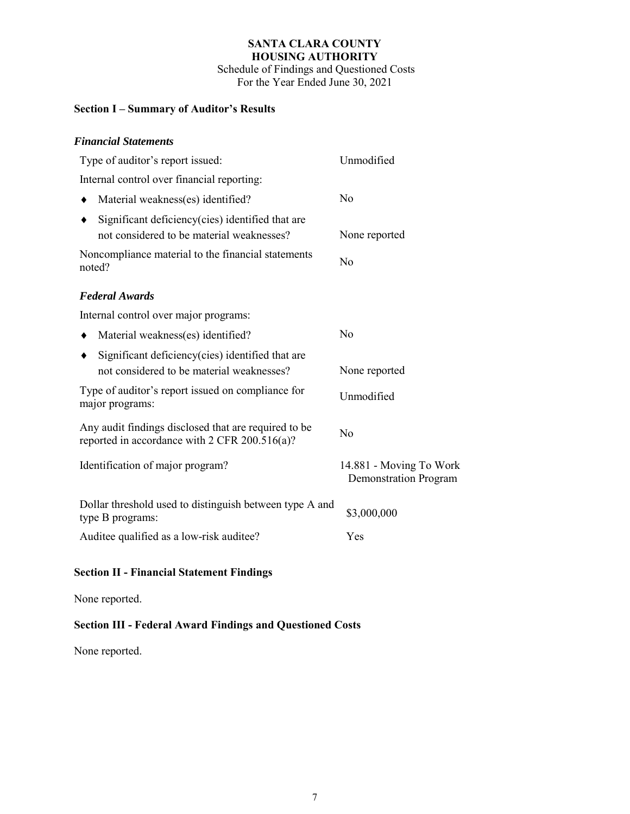## **SANTA CLARA COUNTY HOUSING AUTHORITY**

 Schedule of Findings and Questioned Costs For the Year Ended June 30, 2021

## **Section I – Summary of Auditor's Results**

## *Financial Statements*

| Type of auditor's report issued:                                                                      | Unmodified                                              |  |
|-------------------------------------------------------------------------------------------------------|---------------------------------------------------------|--|
| Internal control over financial reporting:                                                            |                                                         |  |
| Material weakness(es) identified?                                                                     | No                                                      |  |
| Significant deficiency (cies) identified that are<br>not considered to be material weaknesses?        | None reported                                           |  |
| Noncompliance material to the financial statements<br>noted?                                          | N <sub>o</sub>                                          |  |
| <b>Federal Awards</b>                                                                                 |                                                         |  |
| Internal control over major programs:                                                                 |                                                         |  |
| Material weakness(es) identified?                                                                     | No                                                      |  |
| Significant deficiency (cies) identified that are<br>not considered to be material weaknesses?        | None reported                                           |  |
| Type of auditor's report issued on compliance for<br>major programs:                                  | Unmodified                                              |  |
| Any audit findings disclosed that are required to be<br>reported in accordance with 2 CFR 200.516(a)? | No                                                      |  |
| Identification of major program?                                                                      | 14.881 - Moving To Work<br><b>Demonstration Program</b> |  |
| Dollar threshold used to distinguish between type A and<br>type B programs:                           | \$3,000,000                                             |  |
| Auditee qualified as a low-risk auditee?                                                              | Yes                                                     |  |
|                                                                                                       |                                                         |  |

# **Section II - Financial Statement Findings**

None reported.

# **Section III - Federal Award Findings and Questioned Costs**

None reported.